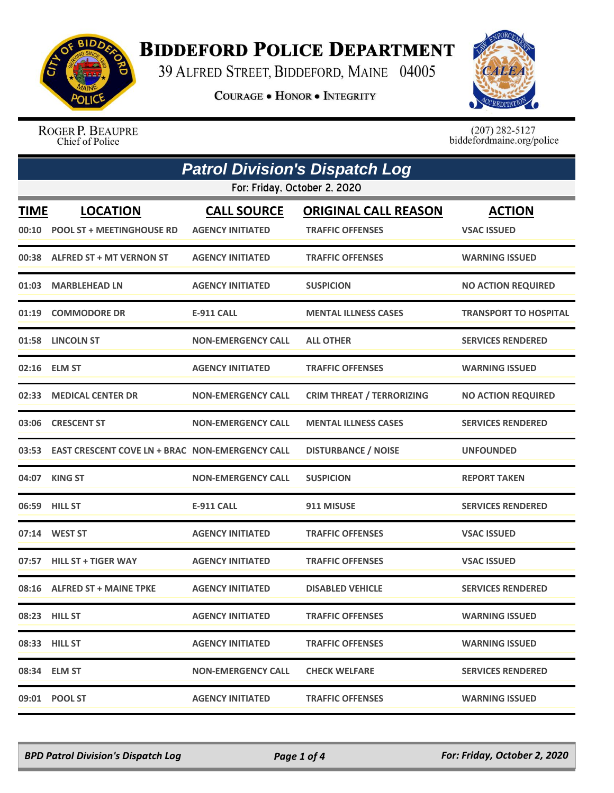

## **BIDDEFORD POLICE DEPARTMENT**

39 ALFRED STREET, BIDDEFORD, MAINE 04005

**COURAGE . HONOR . INTEGRITY** 



ROGER P. BEAUPRE Chief of Police

 $(207)$  282-5127<br>biddefordmaine.org/police

| <b>Patrol Division's Dispatch Log</b> |                                                          |                                               |                                                        |                                     |
|---------------------------------------|----------------------------------------------------------|-----------------------------------------------|--------------------------------------------------------|-------------------------------------|
|                                       |                                                          | For: Friday, October 2, 2020                  |                                                        |                                     |
| <b>TIME</b><br>00:10                  | <b>LOCATION</b><br><b>POOL ST + MEETINGHOUSE RD</b>      | <b>CALL SOURCE</b><br><b>AGENCY INITIATED</b> | <b>ORIGINAL CALL REASON</b><br><b>TRAFFIC OFFENSES</b> | <b>ACTION</b><br><b>VSAC ISSUED</b> |
|                                       | 00:38 ALFRED ST + MT VERNON ST                           | <b>AGENCY INITIATED</b>                       | <b>TRAFFIC OFFENSES</b>                                | <b>WARNING ISSUED</b>               |
| 01:03                                 | <b>MARBLEHEAD LN</b>                                     | <b>AGENCY INITIATED</b>                       | <b>SUSPICION</b>                                       | <b>NO ACTION REQUIRED</b>           |
|                                       | 01:19 COMMODORE DR                                       | <b>E-911 CALL</b>                             | <b>MENTAL ILLNESS CASES</b>                            | <b>TRANSPORT TO HOSPITAL</b>        |
|                                       | 01:58 LINCOLN ST                                         | <b>NON-EMERGENCY CALL</b>                     | <b>ALL OTHER</b>                                       | <b>SERVICES RENDERED</b>            |
|                                       | 02:16 ELM ST                                             | <b>AGENCY INITIATED</b>                       | <b>TRAFFIC OFFENSES</b>                                | <b>WARNING ISSUED</b>               |
|                                       | 02:33 MEDICAL CENTER DR                                  | <b>NON-EMERGENCY CALL</b>                     | <b>CRIM THREAT / TERRORIZING</b>                       | <b>NO ACTION REQUIRED</b>           |
| 03:06                                 | <b>CRESCENT ST</b>                                       | <b>NON-EMERGENCY CALL</b>                     | <b>MENTAL ILLNESS CASES</b>                            | <b>SERVICES RENDERED</b>            |
|                                       | 03:53    EAST CRESCENT COVE LN + BRAC NON-EMERGENCY CALL |                                               | <b>DISTURBANCE / NOISE</b>                             | <b>UNFOUNDED</b>                    |
|                                       | 04:07 KING ST                                            | <b>NON-EMERGENCY CALL</b>                     | <b>SUSPICION</b>                                       | <b>REPORT TAKEN</b>                 |
| 06:59                                 | <b>HILL ST</b>                                           | <b>E-911 CALL</b>                             | 911 MISUSE                                             | <b>SERVICES RENDERED</b>            |
|                                       | 07:14 WEST ST                                            | <b>AGENCY INITIATED</b>                       | <b>TRAFFIC OFFENSES</b>                                | <b>VSAC ISSUED</b>                  |
| 07:57                                 | <b>HILL ST + TIGER WAY</b>                               | <b>AGENCY INITIATED</b>                       | <b>TRAFFIC OFFENSES</b>                                | <b>VSAC ISSUED</b>                  |
|                                       | 08:16 ALFRED ST + MAINE TPKE                             | <b>AGENCY INITIATED</b>                       | <b>DISABLED VEHICLE</b>                                | <b>SERVICES RENDERED</b>            |
|                                       | 08:23 HILL ST                                            | <b>AGENCY INITIATED</b>                       | <b>TRAFFIC OFFENSES</b>                                | <b>WARNING ISSUED</b>               |
|                                       | 08:33 HILL ST                                            | <b>AGENCY INITIATED</b>                       | <b>TRAFFIC OFFENSES</b>                                | <b>WARNING ISSUED</b>               |
|                                       | 08:34 ELM ST                                             | <b>NON-EMERGENCY CALL</b>                     | <b>CHECK WELFARE</b>                                   | <b>SERVICES RENDERED</b>            |
|                                       | 09:01 POOL ST                                            | <b>AGENCY INITIATED</b>                       | <b>TRAFFIC OFFENSES</b>                                | <b>WARNING ISSUED</b>               |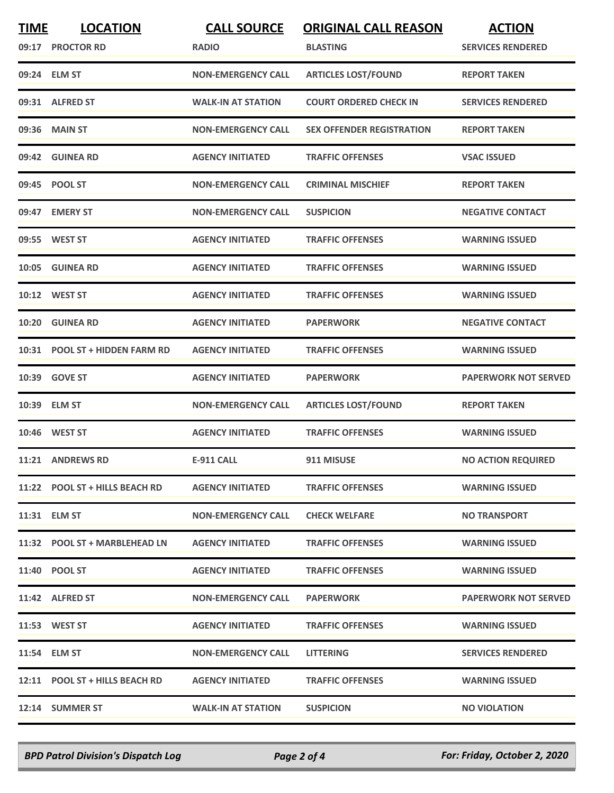| <b>TIME</b> | <b>LOCATION</b><br>09:17 PROCTOR RD | <b>CALL SOURCE</b><br><b>RADIO</b> | <b>ORIGINAL CALL REASON</b><br><b>BLASTING</b> | <b>ACTION</b><br><b>SERVICES RENDERED</b> |
|-------------|-------------------------------------|------------------------------------|------------------------------------------------|-------------------------------------------|
|             | 09:24 ELM ST                        | <b>NON-EMERGENCY CALL</b>          | <b>ARTICLES LOST/FOUND</b>                     | <b>REPORT TAKEN</b>                       |
|             | 09:31 ALFRED ST                     | <b>WALK-IN AT STATION</b>          | <b>COURT ORDERED CHECK IN</b>                  | <b>SERVICES RENDERED</b>                  |
|             | 09:36 MAIN ST                       | <b>NON-EMERGENCY CALL</b>          | <b>SEX OFFENDER REGISTRATION</b>               | <b>REPORT TAKEN</b>                       |
|             | 09:42 GUINEA RD                     | <b>AGENCY INITIATED</b>            | <b>TRAFFIC OFFENSES</b>                        | <b>VSAC ISSUED</b>                        |
|             | 09:45 POOL ST                       | <b>NON-EMERGENCY CALL</b>          | <b>CRIMINAL MISCHIEF</b>                       | <b>REPORT TAKEN</b>                       |
|             | 09:47 EMERY ST                      | <b>NON-EMERGENCY CALL</b>          | <b>SUSPICION</b>                               | <b>NEGATIVE CONTACT</b>                   |
|             | 09:55 WEST ST                       | <b>AGENCY INITIATED</b>            | <b>TRAFFIC OFFENSES</b>                        | <b>WARNING ISSUED</b>                     |
|             | 10:05 GUINEA RD                     | <b>AGENCY INITIATED</b>            | <b>TRAFFIC OFFENSES</b>                        | <b>WARNING ISSUED</b>                     |
|             | 10:12 WEST ST                       | <b>AGENCY INITIATED</b>            | <b>TRAFFIC OFFENSES</b>                        | <b>WARNING ISSUED</b>                     |
|             | 10:20 GUINEA RD                     | <b>AGENCY INITIATED</b>            | <b>PAPERWORK</b>                               | <b>NEGATIVE CONTACT</b>                   |
|             | 10:31 POOL ST + HIDDEN FARM RD      | <b>AGENCY INITIATED</b>            | <b>TRAFFIC OFFENSES</b>                        | <b>WARNING ISSUED</b>                     |
|             | 10:39 GOVE ST                       | <b>AGENCY INITIATED</b>            | <b>PAPERWORK</b>                               | <b>PAPERWORK NOT SERVED</b>               |
|             | 10:39 ELM ST                        | <b>NON-EMERGENCY CALL</b>          | <b>ARTICLES LOST/FOUND</b>                     | <b>REPORT TAKEN</b>                       |
|             | 10:46 WEST ST                       | <b>AGENCY INITIATED</b>            | <b>TRAFFIC OFFENSES</b>                        | <b>WARNING ISSUED</b>                     |
|             | 11:21 ANDREWS RD                    | <b>E-911 CALL</b>                  | 911 MISUSE                                     | <b>NO ACTION REQUIRED</b>                 |
|             | 11:22 POOL ST + HILLS BEACH RD      | <b>AGENCY INITIATED</b>            | <b>TRAFFIC OFFENSES</b>                        | <b>WARNING ISSUED</b>                     |
|             | 11:31 ELM ST                        | <b>NON-EMERGENCY CALL</b>          | <b>CHECK WELFARE</b>                           | <b>NO TRANSPORT</b>                       |
|             | 11:32 POOL ST + MARBLEHEAD LN       | <b>AGENCY INITIATED</b>            | <b>TRAFFIC OFFENSES</b>                        | <b>WARNING ISSUED</b>                     |
|             | 11:40 POOL ST                       | <b>AGENCY INITIATED</b>            | <b>TRAFFIC OFFENSES</b>                        | <b>WARNING ISSUED</b>                     |
|             | 11:42 ALFRED ST                     | <b>NON-EMERGENCY CALL</b>          | <b>PAPERWORK</b>                               | <b>PAPERWORK NOT SERVED</b>               |
|             | 11:53 WEST ST                       | <b>AGENCY INITIATED</b>            | <b>TRAFFIC OFFENSES</b>                        | <b>WARNING ISSUED</b>                     |
|             | 11:54 ELM ST                        | <b>NON-EMERGENCY CALL</b>          | <b>LITTERING</b>                               | <b>SERVICES RENDERED</b>                  |
|             | 12:11 POOL ST + HILLS BEACH RD      | <b>AGENCY INITIATED</b>            | <b>TRAFFIC OFFENSES</b>                        | <b>WARNING ISSUED</b>                     |
|             | 12:14 SUMMER ST                     | <b>WALK-IN AT STATION</b>          | <b>SUSPICION</b>                               | <b>NO VIOLATION</b>                       |

*BPD Patrol Division's Dispatch Log Page 2 of 4 For: Friday, October 2, 2020*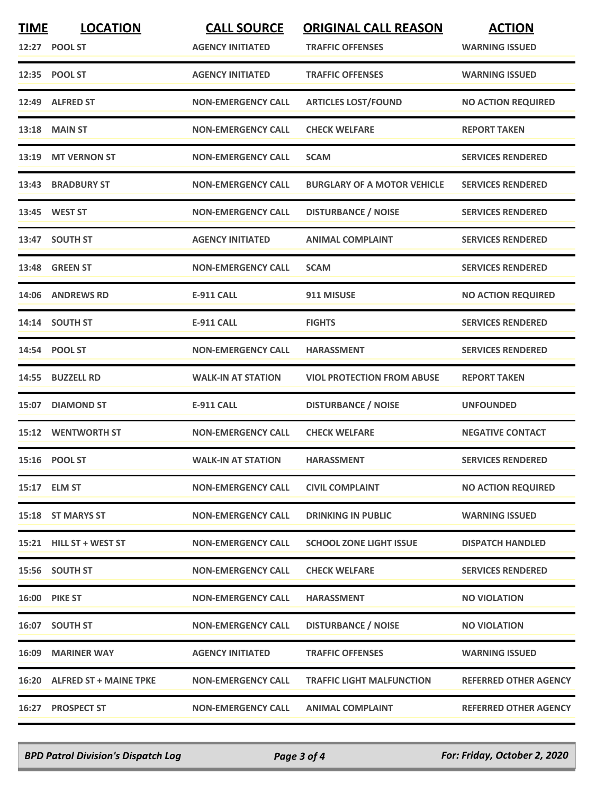| <b>TIME</b> | <b>LOCATION</b><br>12:27 POOL ST | <b>CALL SOURCE</b><br><b>AGENCY INITIATED</b> | <b>ORIGINAL CALL REASON</b><br><b>TRAFFIC OFFENSES</b> | <b>ACTION</b><br><b>WARNING ISSUED</b> |
|-------------|----------------------------------|-----------------------------------------------|--------------------------------------------------------|----------------------------------------|
|             | 12:35 POOL ST                    | <b>AGENCY INITIATED</b>                       | <b>TRAFFIC OFFENSES</b>                                | <b>WARNING ISSUED</b>                  |
|             | 12:49 ALFRED ST                  | <b>NON-EMERGENCY CALL</b>                     | <b>ARTICLES LOST/FOUND</b>                             | <b>NO ACTION REQUIRED</b>              |
|             | <b>13:18 MAIN ST</b>             | <b>NON-EMERGENCY CALL</b>                     | <b>CHECK WELFARE</b>                                   | <b>REPORT TAKEN</b>                    |
|             | 13:19 MT VERNON ST               | <b>NON-EMERGENCY CALL</b>                     | <b>SCAM</b>                                            | <b>SERVICES RENDERED</b>               |
|             | 13:43 BRADBURY ST                | <b>NON-EMERGENCY CALL</b>                     | <b>BURGLARY OF A MOTOR VEHICLE</b>                     | <b>SERVICES RENDERED</b>               |
|             | 13:45 WEST ST                    | <b>NON-EMERGENCY CALL</b>                     | <b>DISTURBANCE / NOISE</b>                             | <b>SERVICES RENDERED</b>               |
|             | 13:47 SOUTH ST                   | <b>AGENCY INITIATED</b>                       | <b>ANIMAL COMPLAINT</b>                                | <b>SERVICES RENDERED</b>               |
|             | 13:48 GREEN ST                   | <b>NON-EMERGENCY CALL</b>                     | <b>SCAM</b>                                            | <b>SERVICES RENDERED</b>               |
|             | 14:06 ANDREWS RD                 | <b>E-911 CALL</b>                             | 911 MISUSE                                             | <b>NO ACTION REQUIRED</b>              |
|             | 14:14 SOUTH ST                   | <b>E-911 CALL</b>                             | <b>FIGHTS</b>                                          | <b>SERVICES RENDERED</b>               |
|             | 14:54 POOL ST                    | <b>NON-EMERGENCY CALL</b>                     | <b>HARASSMENT</b>                                      | <b>SERVICES RENDERED</b>               |
|             | 14:55 BUZZELL RD                 | <b>WALK-IN AT STATION</b>                     | <b>VIOL PROTECTION FROM ABUSE</b>                      | <b>REPORT TAKEN</b>                    |
|             | 15:07 DIAMOND ST                 | <b>E-911 CALL</b>                             | <b>DISTURBANCE / NOISE</b>                             | <b>UNFOUNDED</b>                       |
|             | <b>15:12 WENTWORTH ST</b>        | <b>NON-EMERGENCY CALL</b>                     | <b>CHECK WELFARE</b>                                   | <b>NEGATIVE CONTACT</b>                |
|             | 15:16 POOL ST                    | <b>WALK-IN AT STATION</b>                     | <b>HARASSMENT</b>                                      | <b>SERVICES RENDERED</b>               |
|             | 15:17 ELM ST                     | <b>NON-EMERGENCY CALL</b>                     | <b>CIVIL COMPLAINT</b>                                 | <b>NO ACTION REQUIRED</b>              |
|             | 15:18 ST MARYS ST                | <b>NON-EMERGENCY CALL</b>                     | <b>DRINKING IN PUBLIC</b>                              | <b>WARNING ISSUED</b>                  |
|             | 15:21 HILL ST + WEST ST          | <b>NON-EMERGENCY CALL</b>                     | <b>SCHOOL ZONE LIGHT ISSUE</b>                         | <b>DISPATCH HANDLED</b>                |
|             | 15:56 SOUTH ST                   | <b>NON-EMERGENCY CALL</b>                     | <b>CHECK WELFARE</b>                                   | <b>SERVICES RENDERED</b>               |
|             | <b>16:00 PIKE ST</b>             | <b>NON-EMERGENCY CALL</b>                     | <b>HARASSMENT</b>                                      | <b>NO VIOLATION</b>                    |
|             | 16:07 SOUTH ST                   | <b>NON-EMERGENCY CALL</b>                     | <b>DISTURBANCE / NOISE</b>                             | <b>NO VIOLATION</b>                    |
|             | <b>16:09 MARINER WAY</b>         | <b>AGENCY INITIATED</b>                       | <b>TRAFFIC OFFENSES</b>                                | <b>WARNING ISSUED</b>                  |
|             | 16:20 ALFRED ST + MAINE TPKE     | <b>NON-EMERGENCY CALL</b>                     | <b>TRAFFIC LIGHT MALFUNCTION</b>                       | <b>REFERRED OTHER AGENCY</b>           |
| 16:27       | <b>PROSPECT ST</b>               | <b>NON-EMERGENCY CALL</b>                     | <b>ANIMAL COMPLAINT</b>                                | <b>REFERRED OTHER AGENCY</b>           |

*BPD Patrol Division's Dispatch Log Page 3 of 4 For: Friday, October 2, 2020*